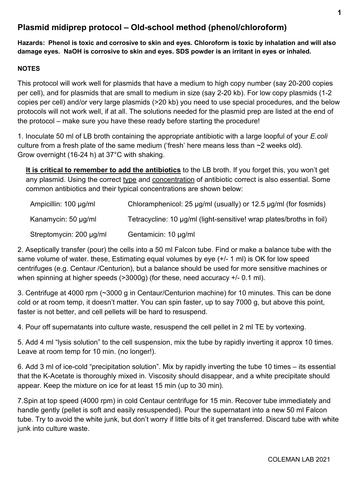# **Plasmid midiprep protocol – Old-school method (phenol/chloroform)**

**Hazards: Phenol is toxic and corrosive to skin and eyes. Chloroform is toxic by inhalation and will also damage eyes. NaOH is corrosive to skin and eyes. SDS powder is an irritant in eyes or inhaled.** 

# **NOTES**

This protocol will work well for plasmids that have a medium to high copy number (say 20-200 copies per cell), and for plasmids that are small to medium in size (say 2-20 kb). For low copy plasmids (1-2 copies per cell) and/or very large plasmids (>20 kb) you need to use special procedures, and the below protocols will not work well, if at all. The solutions needed for the plasmid prep are listed at the end of the protocol – make sure you have these ready before starting the procedure!

1. Inoculate 50 ml of LB broth containing the appropriate antibiotic with a large loopful of your *E.coli* culture from a fresh plate of the same medium ('fresh' here means less than ~2 weeks old). Grow overnight (16-24 h) at 37°C with shaking.

**It is critical to remember to add the antibiotics** to the LB broth. If you forget this, you won't get any plasmid. Using the correct type and concentration of antibiotic correct is also essential. Some common antibiotics and their typical concentrations are shown below:

| Ampicillin: 100 µg/ml    | Chloramphenicol: 25 $\mu$ g/ml (usually) or 12.5 $\mu$ g/ml (for fosmids) |
|--------------------------|---------------------------------------------------------------------------|
| Kanamycin: $50 \mu g/ml$ | Tetracycline: 10 µg/ml (light-sensitive! wrap plates/broths in foil)      |
| Streptomycin: 200 µg/ml  | Gentamicin: 10 µg/ml                                                      |

2. Aseptically transfer (pour) the cells into a 50 ml Falcon tube. Find or make a balance tube with the same volume of water. these, Estimating equal volumes by eye (+/- 1 ml) is OK for low speed centrifuges (e.g. Centaur /Centurion), but a balance should be used for more sensitive machines or when spinning at higher speeds (>3000g) (for these, need accuracy +/- 0.1 ml).

3. Centrifuge at 4000 rpm (~3000 g in Centaur/Centurion machine) for 10 minutes. This can be done cold or at room temp, it doesn't matter. You can spin faster, up to say 7000 g, but above this point, faster is not better, and cell pellets will be hard to resuspend.

4. Pour off supernatants into culture waste, resuspend the cell pellet in 2 ml TE by vortexing.

5. Add 4 ml "lysis solution" to the cell suspension, mix the tube by rapidly inverting it approx 10 times. Leave at room temp for 10 min. (no longer!).

6. Add 3 ml of ice-cold "precipitation solution". Mix by rapidly inverting the tube 10 times – its essential that the K-Acetate is thoroughly mixed in. Viscosity should disappear, and a white precipitate should appear. Keep the mixture on ice for at least 15 min (up to 30 min).

7.Spin at top speed (4000 rpm) in cold Centaur centrifuge for 15 min. Recover tube immediately and handle gently (pellet is soft and easily resuspended). Pour the supernatant into a new 50 ml Falcon tube. Try to avoid the white junk, but don't worry if little bits of it get transferred. Discard tube with white junk into culture waste.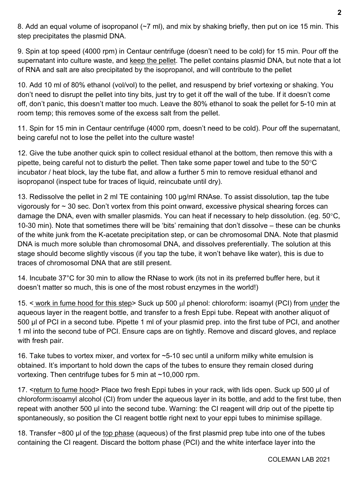8. Add an equal volume of isopropanol (~7 ml), and mix by shaking briefly, then put on ice 15 min. This step precipitates the plasmid DNA.

9. Spin at top speed (4000 rpm) in Centaur centrifuge (doesn't need to be cold) for 15 min. Pour off the supernatant into culture waste, and keep the pellet. The pellet contains plasmid DNA, but note that a lot of RNA and salt are also precipitated by the isopropanol, and will contribute to the pellet

10. Add 10 ml of 80% ethanol (vol/vol) to the pellet, and resuspend by brief vortexing or shaking. You don't need to disrupt the pellet into tiny bits, just try to get it off the wall of the tube. If it doesn't come off, don't panic, this doesn't matter too much. Leave the 80% ethanol to soak the pellet for 5-10 min at room temp; this removes some of the excess salt from the pellet.

11. Spin for 15 min in Centaur centrifuge (4000 rpm, doesn't need to be cold). Pour off the supernatant, being careful not to lose the pellet into the culture waste!

12. Give the tube another quick spin to collect residual ethanol at the bottom, then remove this with a pipette, being careful not to disturb the pellet. Then take some paper towel and tube to the 50°C incubator / heat block, lay the tube flat, and allow a further 5 min to remove residual ethanol and isopropanol (inspect tube for traces of liquid, reincubate until dry).

13. Redissolve the pellet in 2 ml TE containing 100 µg/ml RNAse. To assist dissolution, tap the tube vigorously for ~ 30 sec. Don't vortex from this point onward, excessive physical shearing forces can damage the DNA, even with smaller plasmids. You can heat if necessary to help dissolution. (eg. 50°C, 10-30 min). Note that sometimes there will be 'bits' remaining that don't dissolve – these can be chunks of the white junk from the K-acetate precipitation step, or can be chromosomal DNA. Note that plasmid DNA is much more soluble than chromosomal DNA, and dissolves preferentially. The solution at this stage should become slightly viscous (if you tap the tube, it won't behave like water), this is due to traces of chromosomal DNA that are still present.

14. Incubate 37°C for 30 min to allow the RNase to work (its not in its preferred buffer here, but it doesn't matter so much, this is one of the most robust enzymes in the world!)

15. < work in fume hood for this step> Suck up 500 µl phenol: chloroform: isoamyl (PCI) from under the aqueous layer in the reagent bottle, and transfer to a fresh Eppi tube. Repeat with another aliquot of 500 µl of PCI in a second tube. Pipette 1 ml of your plasmid prep. into the first tube of PCI, and another 1 ml into the second tube of PCI. Ensure caps are on tightly. Remove and discard gloves, and replace with fresh pair.

16. Take tubes to vortex mixer, and vortex for ~5-10 sec until a uniform milky white emulsion is obtained. It's important to hold down the caps of the tubes to ensure they remain closed during vortexing. Then centrifuge tubes for 5 min at ~10,000 rpm.

17. <return to fume hood> Place two fresh Eppi tubes in your rack, with lids open. Suck up 500 µl of chloroform:isoamyl alcohol (CI) from under the aqueous layer in its bottle, and add to the first tube, then repeat with another 500 µl into the second tube. Warning: the CI reagent will drip out of the pipette tip spontaneously, so position the CI reagent bottle right next to your eppi tubes to minimise spillage.

18. Transfer ~800 µl of the top phase (aqueous) of the first plasmid prep tube into one of the tubes containing the CI reagent. Discard the bottom phase (PCI) and the white interface layer into the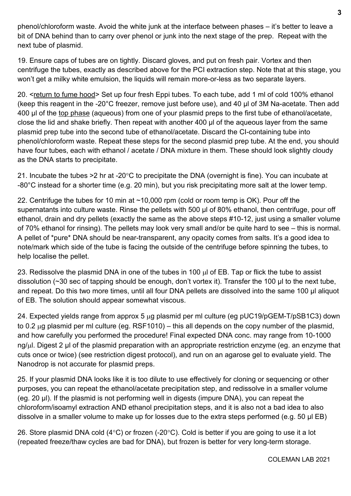phenol/chloroform waste. Avoid the white junk at the interface between phases – it's better to leave a bit of DNA behind than to carry over phenol or junk into the next stage of the prep. Repeat with the next tube of plasmid.

19. Ensure caps of tubes are on tightly. Discard gloves, and put on fresh pair. Vortex and then centrifuge the tubes, exactly as described above for the PCI extraction step. Note that at this stage, you won't get a milky white emulsion, the liquids will remain more-or-less as two separate layers.

20. <return to fume hood> Set up four fresh Eppi tubes. To each tube, add 1 ml of cold 100% ethanol (keep this reagent in the -20°C freezer, remove just before use), and 40 µl of 3M Na-acetate. Then add 400 µl of the top phase (aqueous) from one of your plasmid preps to the first tube of ethanol/acetate, close the lid and shake briefly. Then repeat with another 400 µl of the aqueous layer from the same plasmid prep tube into the second tube of ethanol/acetate. Discard the CI-containing tube into phenol/chloroform waste. Repeat these steps for the second plasmid prep tube. At the end, you should have four tubes, each with ethanol / acetate / DNA mixture in them. These should look slightly cloudy as the DNA starts to precipitate.

21. Incubate the tubes >2 hr at -20°C to precipitate the DNA (overnight is fine). You can incubate at -80°C instead for a shorter time (e.g. 20 min), but you risk precipitating more salt at the lower temp.

22. Centrifuge the tubes for 10 min at ~10,000 rpm (cold or room temp is OK). Pour off the supernatants into culture waste. Rinse the pellets with 500 µl of 80% ethanol, then centrifuge, pour off ethanol, drain and dry pellets (exactly the same as the above steps #10-12, just using a smaller volume of 70% ethanol for rinsing). The pellets may look very small and/or be quite hard to see – this is normal. A pellet of \*pure\* DNA should be near-transparent, any opacity comes from salts. It's a good idea to note/mark which side of the tube is facing the outside of the centrifuge before spinning the tubes, to help localise the pellet.

23. Redissolve the plasmid DNA in one of the tubes in 100 µl of EB. Tap or flick the tube to assist dissolution (~30 sec of tapping should be enough, don't vortex it). Transfer the 100 µl to the next tube, and repeat. Do this two more times, until all four DNA pellets are dissolved into the same 100 µl aliquot of EB. The solution should appear somewhat viscous.

24. Expected yields range from approx 5 µg plasmid per ml culture (eg pUC19/pGEM-T/pSB1C3) down to 0.2 µg plasmid per ml culture (eg. RSF1010) – this all depends on the copy number of the plasmid, and how carefully you performed the procedure! Final expected DNA conc. may range from 10-1000 ng/ul. Digest 2 µl of the plasmid preparation with an appropriate restriction enzyme (eg. an enzyme that cuts once or twice) (see restriction digest protocol), and run on an agarose gel to evaluate yield. The Nanodrop is not accurate for plasmid preps.

25. If your plasmid DNA looks like it is too dilute to use effectively for cloning or sequencing or other purposes, you can repeat the ethanol/acetate precipitation step, and redissolve in a smaller volume (eg. 20 µl). If the plasmid is not performing well in digests (impure DNA), you can repeat the chloroform/isoamyl extraction AND ethanol precipitation steps, and it is also not a bad idea to also dissolve in a smaller volume to make up for losses due to the extra steps performed (e.g. 50 µl EB)

26. Store plasmid DNA cold (4 $\degree$ C) or frozen (-20 $\degree$ C). Cold is better if you are going to use it a lot (repeated freeze/thaw cycles are bad for DNA), but frozen is better for very long-term storage.